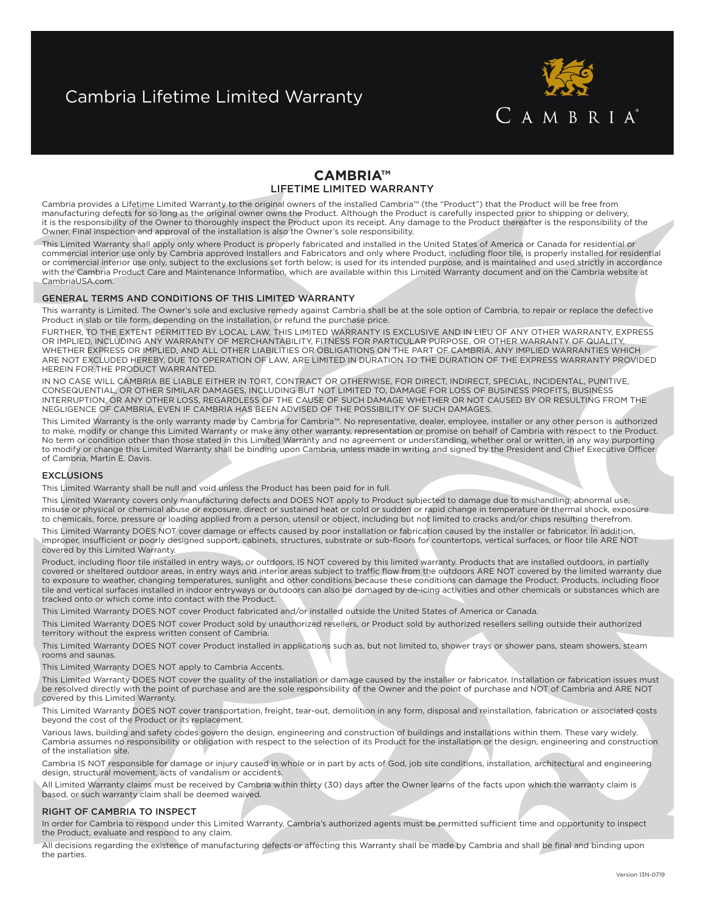# Cambria Lifetime Limited Warranty



## **Cambria™** Lifetime Limited Warranty

Cambria provides a Lifetime Limited Warranty to the original owners of the installed Cambria™ (the "Product") that the Product will be free from manufacturing defects for so long as the original owner owns the Product. Although the Product is carefully inspected prior to shipping or delivery, it is the responsibility of the Owner to thoroughly inspect the Product upon its receipt. Any damage to the Product thereafter is the responsibility of the Owner. Final inspection and approval of the installation is also the Owner's sole responsibility.

This Limited Warranty shall apply only where Product is properly fabricated and installed in the United States of America or Canada for residential or commercial interior use only by Cambria approved Installers and Fabricators and only where Product, including floor tile, is properly installed for residential or commercial interior use only, subject to the exclusions set forth below; is used for its intended purpose, and is maintained and used strictly in accordance with the Cambria Product Care and Maintenance Information, which are available within this Limited Warranty document and on the Cambria website at CambriaUSA.com.

## GENERAL TERMS AND CONDITIONS OF THIS LIMITED WARRANTY

This warranty is Limited. The Owner's sole and exclusive remedy against Cambria shall be at the sole option of Cambria, to repair or replace the defective Product in slab or tile form, depending on the installation, or refund the purchase price.

FURTHER, TO THE EXTENT PERMITTED BY LOCAL LAW, THIS LIMITED WARRANTY IS EXCLUSIVE AND IN LIEU OF ANY OTHER WARRANTY, EXPRESS OR IMPLIED, INCLUDING ANY WARRANTY OF MERCHANTABILITY, FITNESS FOR PARTICULAR PURPOSE, OR OTHER WARRANTY OF QUALITY, WHETHER EXPRESS OR IMPLIED, AND ALL OTHER LIABILITIES OR OBLIGATIONS ON THE PART OF CAMBRIA. ANY IMPLIED WARRANTIES WHICH ARE NOT EXCLUDED HEREBY, DUE TO OPERATION OF LAW, ARE LIMITED IN DURATION TO THE DURATION OF THE EXPRESS WARRANTY PROVIDED HEREIN FOR THE PRODUCT WARRANTED.

IN NO CASE WILL CAMBRIA BE LIABLE EITHER IN TORT, CONTRACT OR OTHERWISE, FOR DIRECT, INDIRECT, SPECIAL, INCIDENTAL, PUNITIVE, CONSEQUENTIAL, OR OTHER SIMILAR DAMAGES, INCLUDING BUT NOT LIMITED TO, DAMAGE FOR LOSS OF BUSINESS PROFITS, BUSINESS INTERRUPTION, OR ANY OTHER LOSS, REGARDLESS OF THE CAUSE OF SUCH DAMAGE WHETHER OR NOT CAUSED BY OR RESULTING FROM THE NEGLIGENCE OF CAMBRIA, EVEN IF CAMBRIA HAS BEEN ADVISED OF THE POSSIBILITY OF SUCH DAMAGES.

This Limited Warranty is the only warranty made by Cambria for Cambria™. No representative, dealer, employee, installer or any other person is authorized to make, modify or change this Limited Warranty or make any other warranty, representation or promise on behalf of Cambria with respect to the Product. No term or condition other than those stated in this Limited Warranty and no agreement or understanding, whether oral or written, in any way purporting to modify or change this Limited Warranty shall be binding upon Cambria, unless made in writing and signed by the President and Chief Executive Officer of Cambria, Martin E. Davis.

## **EXCLUSIONS**

This Limited Warranty shall be null and void unless the Product has been paid for in full.

This Limited Warranty covers only manufacturing defects and DOES NOT apply to Product subjected to damage due to mishandling, abnormal use, misuse or physical or chemical abuse or exposure, direct or sustained heat or cold or sudden or rapid change in temperature or thermal shock, exposure to chemicals, force, pressure or loading applied from a person, utensil or object, including but not limited to cracks and/or chips resulting therefrom.

This Limited Warranty DOES NOT cover damage or effects caused by poor installation or fabrication caused by the installer or fabricator. In addition, improper, insufficient or poorly designed support, cabinets, structures, substrate or sub-floors for countertops, vertical surfaces, or floor tile ARE NOT covered by this Limited Warranty.

Product, including floor tile installed in entry ways, or outdoors, IS NOT covered by this limited warranty. Products that are installed outdoors, in partially covered or sheltered outdoor areas, in entry ways and interior areas subject to traffic flow from the outdoors ARE NOT covered by the limited warranty due to exposure to weather, changing temperatures, sunlight and other conditions because these conditions can damage the Product. Products, including floor tile and vertical surfaces installed in indoor entryways or outdoors can also be damaged by de-icing activities and other chemicals or substances which are tracked onto or which come into contact with the Product.

This Limited Warranty DOES NOT cover Product fabricated and/or installed outside the United States of America or Canada.

This Limited Warranty DOES NOT cover Product sold by unauthorized resellers, or Product sold by authorized resellers selling outside their authorized territory without the express written consent of Cambria.

This Limited Warranty DOES NOT cover Product installed in applications such as, but not limited to, shower trays or shower pans, steam showers, steam rooms and saunas.

This Limited Warranty DOES NOT apply to Cambria Accents.

This Limited Warranty DOES NOT cover the quality of the installation or damage caused by the installer or fabricator. Installation or fabrication issues must be resolved directly with the point of purchase and are the sole responsibility of the Owner and the point of purchase and NOT of Cambria and ARE NOT covered by this Limited Warranty.

This Limited Warranty DOES NOT cover transportation, freight, tear-out, demolition in any form, disposal and reinstallation, fabrication or associated costs beyond the cost of the Product or its replacement.

Various laws, building and safety codes govern the design, engineering and construction of buildings and installations within them. These vary widely. Cambria assumes no responsibility or obligation with respect to the selection of its Product for the installation or the design, engineering and construction of the installation site.

Cambria IS NOT responsible for damage or injury caused in whole or in part by acts of God, job site conditions, installation, architectural and engineering design, structural movement, acts of vandalism or accidents.

All Limited Warranty claims must be received by Cambria within thirty (30) days after the Owner learns of the facts upon which the warranty claim is based, or such warranty claim shall be deemed waived.

## RIGHT OF CAMBRIA TO INSPECT

In order for Cambria to respond under this Limited Warranty, Cambria's authorized agents must be permitted sufficient time and opportunity to inspect the Product, evaluate and respond to any claim.

All decisions regarding the existence of manufacturing defects or affecting this Warranty shall be made by Cambria and shall be final and binding upon the parties.